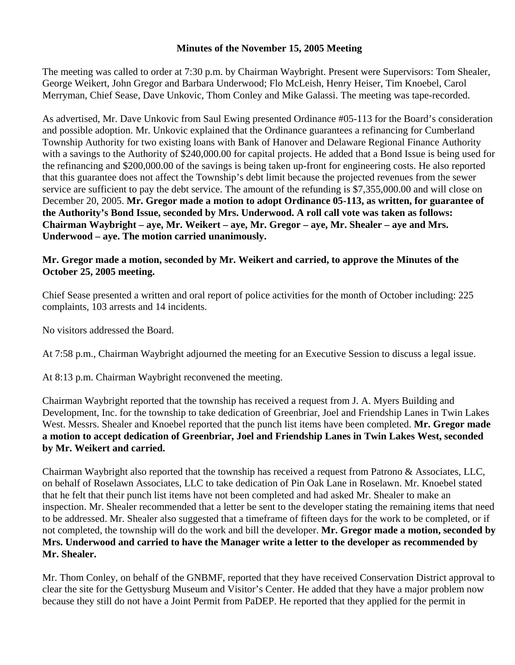## **Minutes of the November 15, 2005 Meeting**

The meeting was called to order at 7:30 p.m. by Chairman Waybright. Present were Supervisors: Tom Shealer, George Weikert, John Gregor and Barbara Underwood; Flo McLeish, Henry Heiser, Tim Knoebel, Carol Merryman, Chief Sease, Dave Unkovic, Thom Conley and Mike Galassi. The meeting was tape-recorded.

As advertised, Mr. Dave Unkovic from Saul Ewing presented Ordinance #05-113 for the Board's consideration and possible adoption. Mr. Unkovic explained that the Ordinance guarantees a refinancing for Cumberland Township Authority for two existing loans with Bank of Hanover and Delaware Regional Finance Authority with a savings to the Authority of \$240,000.00 for capital projects. He added that a Bond Issue is being used for the refinancing and \$200,000.00 of the savings is being taken up-front for engineering costs. He also reported that this guarantee does not affect the Township's debt limit because the projected revenues from the sewer service are sufficient to pay the debt service. The amount of the refunding is \$7,355,000.00 and will close on December 20, 2005. **Mr. Gregor made a motion to adopt Ordinance 05-113, as written, for guarantee of the Authority's Bond Issue, seconded by Mrs. Underwood. A roll call vote was taken as follows: Chairman Waybright – aye, Mr. Weikert – aye, Mr. Gregor – aye, Mr. Shealer – aye and Mrs. Underwood – aye. The motion carried unanimously.**

## **Mr. Gregor made a motion, seconded by Mr. Weikert and carried, to approve the Minutes of the October 25, 2005 meeting.**

Chief Sease presented a written and oral report of police activities for the month of October including: 225 complaints, 103 arrests and 14 incidents.

No visitors addressed the Board.

At 7:58 p.m., Chairman Waybright adjourned the meeting for an Executive Session to discuss a legal issue.

At 8:13 p.m. Chairman Waybright reconvened the meeting.

Chairman Waybright reported that the township has received a request from J. A. Myers Building and Development, Inc. for the township to take dedication of Greenbriar, Joel and Friendship Lanes in Twin Lakes West. Messrs. Shealer and Knoebel reported that the punch list items have been completed. **Mr. Gregor made a motion to accept dedication of Greenbriar, Joel and Friendship Lanes in Twin Lakes West, seconded by Mr. Weikert and carried.** 

Chairman Waybright also reported that the township has received a request from Patrono & Associates, LLC, on behalf of Roselawn Associates, LLC to take dedication of Pin Oak Lane in Roselawn. Mr. Knoebel stated that he felt that their punch list items have not been completed and had asked Mr. Shealer to make an inspection. Mr. Shealer recommended that a letter be sent to the developer stating the remaining items that need to be addressed. Mr. Shealer also suggested that a timeframe of fifteen days for the work to be completed, or if not completed, the township will do the work and bill the developer. **Mr. Gregor made a motion, seconded by Mrs. Underwood and carried to have the Manager write a letter to the developer as recommended by Mr. Shealer.** 

Mr. Thom Conley, on behalf of the GNBMF, reported that they have received Conservation District approval to clear the site for the Gettysburg Museum and Visitor's Center. He added that they have a major problem now because they still do not have a Joint Permit from PaDEP. He reported that they applied for the permit in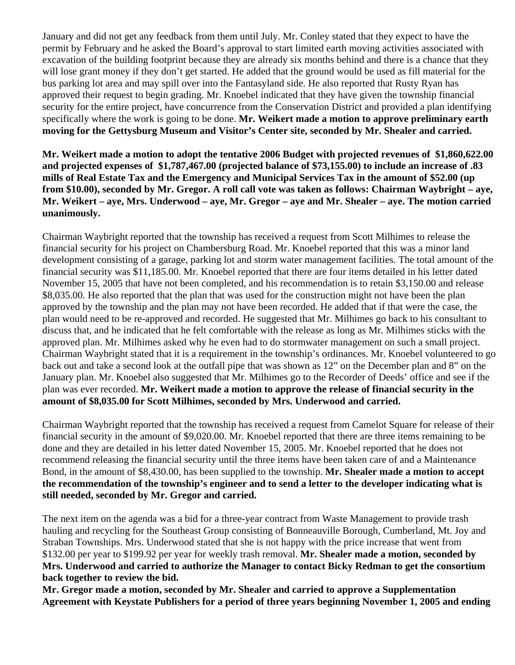January and did not get any feedback from them until July. Mr. Conley stated that they expect to have the permit by February and he asked the Board's approval to start limited earth moving activities associated with excavation of the building footprint because they are already six months behind and there is a chance that they will lose grant money if they don't get started. He added that the ground would be used as fill material for the bus parking lot area and may spill over into the Fantasyland side. He also reported that Rusty Ryan has approved their request to begin grading. Mr. Knoebel indicated that they have given the township financial security for the entire project, have concurrence from the Conservation District and provided a plan identifying specifically where the work is going to be done. **Mr. Weikert made a motion to approve preliminary earth moving for the Gettysburg Museum and Visitor's Center site, seconded by Mr. Shealer and carried.** 

**Mr. Weikert made a motion to adopt the tentative 2006 Budget with projected revenues of \$1,860,622.00 and projected expenses of \$1,787,467.00 (projected balance of \$73,155.00) to include an increase of .83 mills of Real Estate Tax and the Emergency and Municipal Services Tax in the amount of \$52.00 (up from \$10.00), seconded by Mr. Gregor. A roll call vote was taken as follows: Chairman Waybright – aye, Mr. Weikert – aye, Mrs. Underwood – aye, Mr. Gregor – aye and Mr. Shealer – aye. The motion carried unanimously.** 

Chairman Waybright reported that the township has received a request from Scott Milhimes to release the financial security for his project on Chambersburg Road. Mr. Knoebel reported that this was a minor land development consisting of a garage, parking lot and storm water management facilities. The total amount of the financial security was \$11,185.00. Mr. Knoebel reported that there are four items detailed in his letter dated November 15, 2005 that have not been completed, and his recommendation is to retain \$3,150.00 and release \$8,035.00. He also reported that the plan that was used for the construction might not have been the plan approved by the township and the plan may not have been recorded. He added that if that were the case, the plan would need to be re-approved and recorded. He suggested that Mr. Milhimes go back to his consultant to discuss that, and he indicated that he felt comfortable with the release as long as Mr. Milhimes sticks with the approved plan. Mr. Milhimes asked why he even had to do stormwater management on such a small project. Chairman Waybright stated that it is a requirement in the township's ordinances. Mr. Knoebel volunteered to go back out and take a second look at the outfall pipe that was shown as 12" on the December plan and 8" on the January plan. Mr. Knoebel also suggested that Mr. Milhimes go to the Recorder of Deeds' office and see if the plan was ever recorded. **Mr. Weikert made a motion to approve the release of financial security in the amount of \$8,035.00 for Scott Milhimes, seconded by Mrs. Underwood and carried.** 

Chairman Waybright reported that the township has received a request from Camelot Square for release of their financial security in the amount of \$9,020.00. Mr. Knoebel reported that there are three items remaining to be done and they are detailed in his letter dated November 15, 2005. Mr. Knoebel reported that he does not recommend releasing the financial security until the three items have been taken care of and a Maintenance Bond, in the amount of \$8,430.00, has been supplied to the township. **Mr. Shealer made a motion to accept the recommendation of the township's engineer and to send a letter to the developer indicating what is still needed, seconded by Mr. Gregor and carried.** 

The next item on the agenda was a bid for a three-year contract from Waste Management to provide trash hauling and recycling for the Southeast Group consisting of Bonneauville Borough, Cumberland, Mt. Joy and Straban Townships. Mrs. Underwood stated that she is not happy with the price increase that went from \$132.00 per year to \$199.92 per year for weekly trash removal. **Mr. Shealer made a motion, seconded by Mrs. Underwood and carried to authorize the Manager to contact Bicky Redman to get the consortium back together to review the bid.** 

**Mr. Gregor made a motion, seconded by Mr. Shealer and carried to approve a Supplementation Agreement with Keystate Publishers for a period of three years beginning November 1, 2005 and ending**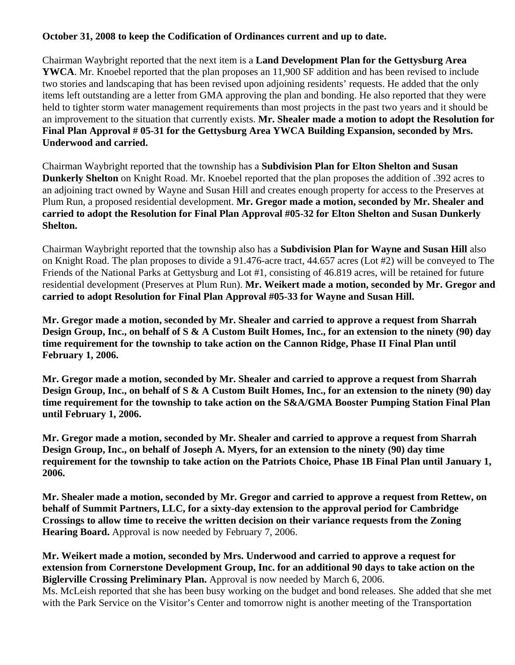## **October 31, 2008 to keep the Codification of Ordinances current and up to date.**

Chairman Waybright reported that the next item is a **Land Development Plan for the Gettysburg Area YWCA**. Mr. Knoebel reported that the plan proposes an 11,900 SF addition and has been revised to include two stories and landscaping that has been revised upon adjoining residents' requests. He added that the only items left outstanding are a letter from GMA approving the plan and bonding. He also reported that they were held to tighter storm water management requirements than most projects in the past two years and it should be an improvement to the situation that currently exists. **Mr. Shealer made a motion to adopt the Resolution for Final Plan Approval # 05-31 for the Gettysburg Area YWCA Building Expansion, seconded by Mrs. Underwood and carried.** 

Chairman Waybright reported that the township has a **Subdivision Plan for Elton Shelton and Susan Dunkerly Shelton** on Knight Road. Mr. Knoebel reported that the plan proposes the addition of .392 acres to an adjoining tract owned by Wayne and Susan Hill and creates enough property for access to the Preserves at Plum Run, a proposed residential development. **Mr. Gregor made a motion, seconded by Mr. Shealer and carried to adopt the Resolution for Final Plan Approval #05-32 for Elton Shelton and Susan Dunkerly Shelton.** 

Chairman Waybright reported that the township also has a **Subdivision Plan for Wayne and Susan Hill** also on Knight Road. The plan proposes to divide a 91.476-acre tract, 44.657 acres (Lot #2) will be conveyed to The Friends of the National Parks at Gettysburg and Lot #1, consisting of 46.819 acres, will be retained for future residential development (Preserves at Plum Run). **Mr. Weikert made a motion, seconded by Mr. Gregor and carried to adopt Resolution for Final Plan Approval #05-33 for Wayne and Susan Hill.** 

**Mr. Gregor made a motion, seconded by Mr. Shealer and carried to approve a request from Sharrah Design Group, Inc., on behalf of S & A Custom Built Homes, Inc., for an extension to the ninety (90) day time requirement for the township to take action on the Cannon Ridge, Phase II Final Plan until February 1, 2006.** 

**Mr. Gregor made a motion, seconded by Mr. Shealer and carried to approve a request from Sharrah Design Group, Inc., on behalf of S & A Custom Built Homes, Inc., for an extension to the ninety (90) day time requirement for the township to take action on the S&A/GMA Booster Pumping Station Final Plan until February 1, 2006.** 

**Mr. Gregor made a motion, seconded by Mr. Shealer and carried to approve a request from Sharrah Design Group, Inc., on behalf of Joseph A. Myers, for an extension to the ninety (90) day time requirement for the township to take action on the Patriots Choice, Phase 1B Final Plan until January 1, 2006.** 

**Mr. Shealer made a motion, seconded by Mr. Gregor and carried to approve a request from Rettew, on behalf of Summit Partners, LLC, for a sixty-day extension to the approval period for Cambridge Crossings to allow time to receive the written decision on their variance requests from the Zoning Hearing Board.** Approval is now needed by February 7, 2006.

**Mr. Weikert made a motion, seconded by Mrs. Underwood and carried to approve a request for extension from Cornerstone Development Group, Inc. for an additional 90 days to take action on the Biglerville Crossing Preliminary Plan.** Approval is now needed by March 6, 2006. Ms. McLeish reported that she has been busy working on the budget and bond releases. She added that she met with the Park Service on the Visitor's Center and tomorrow night is another meeting of the Transportation